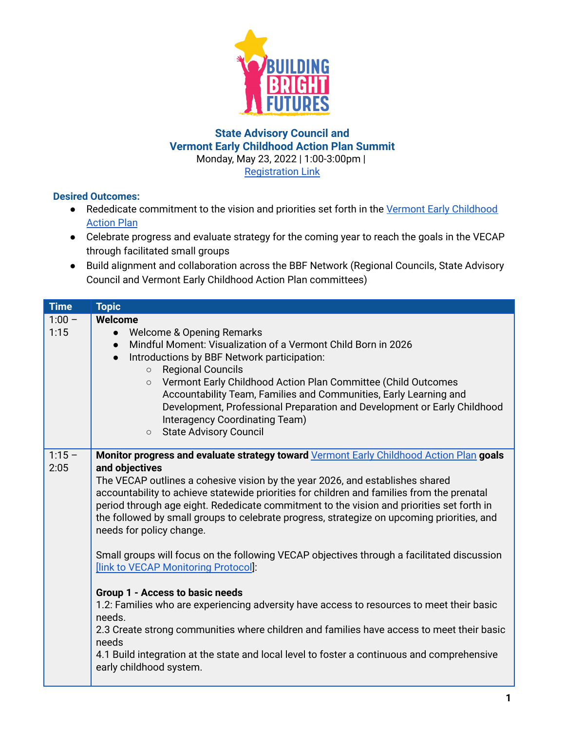

## **State Advisory Council and Vermont Early Childhood Action Plan Summit** Monday, May 23, 2022 | 1:00-3:00pm | [Registration](https://us02web.zoom.us/meeting/register/tZckceyuqDkvHtNMKDjbEVeu59AxGyY4IUQs) Link

## **Desired Outcomes:**

- Rededicate commitment to the vision and priorities set forth in the Vermont Early [Childhood](https://477l7snyayj49hh0r38uhcqo-wpengine.netdna-ssl.com/wp-content/uploads/2020/12/VECAP-Final.pdf) **[Action](https://477l7snyayj49hh0r38uhcqo-wpengine.netdna-ssl.com/wp-content/uploads/2020/12/VECAP-Final.pdf) Plan**
- Celebrate progress and evaluate strategy for the coming year to reach the goals in the VECAP through facilitated small groups
- Build alignment and collaboration across the BBF Network (Regional Councils, State Advisory Council and Vermont Early Childhood Action Plan committees)

| <b>Time</b> | <b>Topic</b>                                                                                |
|-------------|---------------------------------------------------------------------------------------------|
| $1:00 -$    | Welcome                                                                                     |
| 1:15        | <b>Welcome &amp; Opening Remarks</b><br>$\bullet$                                           |
|             | Mindful Moment: Visualization of a Vermont Child Born in 2026<br>$\bullet$                  |
|             | Introductions by BBF Network participation:<br>$\bullet$                                    |
|             | <b>Regional Councils</b><br>$\circ$                                                         |
|             | Vermont Early Childhood Action Plan Committee (Child Outcomes<br>$\circ$                    |
|             | Accountability Team, Families and Communities, Early Learning and                           |
|             | Development, Professional Preparation and Development or Early Childhood                    |
|             | Interagency Coordinating Team)<br><b>State Advisory Council</b><br>$\circ$                  |
|             |                                                                                             |
| $1:15 -$    | Monitor progress and evaluate strategy toward Vermont Early Childhood Action Plan goals     |
| 2:05        | and objectives                                                                              |
|             | The VECAP outlines a cohesive vision by the year 2026, and establishes shared               |
|             | accountability to achieve statewide priorities for children and families from the prenatal  |
|             | period through age eight. Rededicate commitment to the vision and priorities set forth in   |
|             | the followed by small groups to celebrate progress, strategize on upcoming priorities, and  |
|             | needs for policy change.                                                                    |
|             | Small groups will focus on the following VECAP objectives through a facilitated discussion  |
|             | [link to VECAP Monitoring Protocol]:                                                        |
|             |                                                                                             |
|             | Group 1 - Access to basic needs                                                             |
|             | 1.2: Families who are experiencing adversity have access to resources to meet their basic   |
|             | needs.                                                                                      |
|             | 2.3 Create strong communities where children and families have access to meet their basic   |
|             | needs                                                                                       |
|             | 4.1 Build integration at the state and local level to foster a continuous and comprehensive |
|             | early childhood system.                                                                     |
|             |                                                                                             |